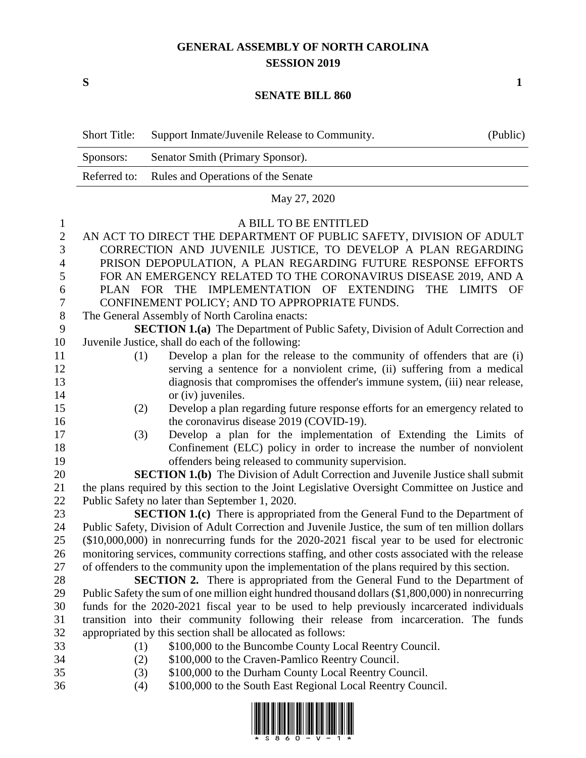## **GENERAL ASSEMBLY OF NORTH CAROLINA SESSION 2019**

**S 1**

## **SENATE BILL 860**

|                | <b>Short Title:</b>                                                                               | Support Inmate/Juvenile Release to Community.                                                                                           | (Public) |  |  |
|----------------|---------------------------------------------------------------------------------------------------|-----------------------------------------------------------------------------------------------------------------------------------------|----------|--|--|
|                | Sponsors:                                                                                         | Senator Smith (Primary Sponsor).                                                                                                        |          |  |  |
|                | Referred to:                                                                                      | Rules and Operations of the Senate                                                                                                      |          |  |  |
|                |                                                                                                   | May 27, 2020                                                                                                                            |          |  |  |
| $\mathbf{1}$   |                                                                                                   | A BILL TO BE ENTITLED                                                                                                                   |          |  |  |
| $\sqrt{2}$     |                                                                                                   | AN ACT TO DIRECT THE DEPARTMENT OF PUBLIC SAFETY, DIVISION OF ADULT                                                                     |          |  |  |
| 3              | CORRECTION AND JUVENILE JUSTICE, TO DEVELOP A PLAN REGARDING                                      |                                                                                                                                         |          |  |  |
| $\overline{4}$ | PRISON DEPOPULATION, A PLAN REGARDING FUTURE RESPONSE EFFORTS                                     |                                                                                                                                         |          |  |  |
| 5              | FOR AN EMERGENCY RELATED TO THE CORONAVIRUS DISEASE 2019, AND A                                   |                                                                                                                                         |          |  |  |
| 6              | PLAN FOR THE IMPLEMENTATION OF EXTENDING<br>THE LIMITS<br>- OF                                    |                                                                                                                                         |          |  |  |
| 7              | CONFINEMENT POLICY; AND TO APPROPRIATE FUNDS.                                                     |                                                                                                                                         |          |  |  |
| $8\phantom{1}$ | The General Assembly of North Carolina enacts:                                                    |                                                                                                                                         |          |  |  |
| 9              |                                                                                                   | <b>SECTION 1.(a)</b> The Department of Public Safety, Division of Adult Correction and                                                  |          |  |  |
| 10             |                                                                                                   | Juvenile Justice, shall do each of the following:                                                                                       |          |  |  |
| 11             | (1)                                                                                               | Develop a plan for the release to the community of offenders that are (i)                                                               |          |  |  |
| 12             |                                                                                                   | serving a sentence for a nonviolent crime, (ii) suffering from a medical                                                                |          |  |  |
| 13             |                                                                                                   | diagnosis that compromises the offender's immune system, (iii) near release,                                                            |          |  |  |
| 14             |                                                                                                   | or (iv) juveniles.                                                                                                                      |          |  |  |
| 15             | (2)                                                                                               | Develop a plan regarding future response efforts for an emergency related to                                                            |          |  |  |
| 16             |                                                                                                   | the coronavirus disease 2019 (COVID-19).                                                                                                |          |  |  |
| 17             | (3)                                                                                               | Develop a plan for the implementation of Extending the Limits of                                                                        |          |  |  |
| 18             |                                                                                                   | Confinement (ELC) policy in order to increase the number of nonviolent                                                                  |          |  |  |
| 19             |                                                                                                   | offenders being released to community supervision.                                                                                      |          |  |  |
| 20             |                                                                                                   | <b>SECTION 1.(b)</b> The Division of Adult Correction and Juvenile Justice shall submit                                                 |          |  |  |
| 21             |                                                                                                   | the plans required by this section to the Joint Legislative Oversight Committee on Justice and                                          |          |  |  |
| 22<br>23       |                                                                                                   | Public Safety no later than September 1, 2020.<br><b>SECTION 1.(c)</b> There is appropriated from the General Fund to the Department of |          |  |  |
| 24             |                                                                                                   | Public Safety, Division of Adult Correction and Juvenile Justice, the sum of ten million dollars                                        |          |  |  |
| 25             |                                                                                                   | $(\$10,000,000)$ in nonrecurring funds for the 2020-2021 fiscal year to be used for electronic                                          |          |  |  |
| 26             |                                                                                                   | monitoring services, community corrections staffing, and other costs associated with the release                                        |          |  |  |
| 27             |                                                                                                   | of offenders to the community upon the implementation of the plans required by this section.                                            |          |  |  |
| 28             |                                                                                                   | <b>SECTION 2.</b> There is appropriated from the General Fund to the Department of                                                      |          |  |  |
| 29             | Public Safety the sum of one million eight hundred thousand dollars (\$1,800,000) in nonrecurring |                                                                                                                                         |          |  |  |
| 30             |                                                                                                   | funds for the 2020-2021 fiscal year to be used to help previously incarcerated individuals                                              |          |  |  |
| 31             |                                                                                                   | transition into their community following their release from incarceration. The funds                                                   |          |  |  |
| 32             | appropriated by this section shall be allocated as follows:                                       |                                                                                                                                         |          |  |  |
| 33             | (1)                                                                                               | \$100,000 to the Buncombe County Local Reentry Council.                                                                                 |          |  |  |
| 34             | (2)                                                                                               | \$100,000 to the Craven-Pamlico Reentry Council.                                                                                        |          |  |  |
| 35             | (3)                                                                                               | \$100,000 to the Durham County Local Reentry Council.                                                                                   |          |  |  |